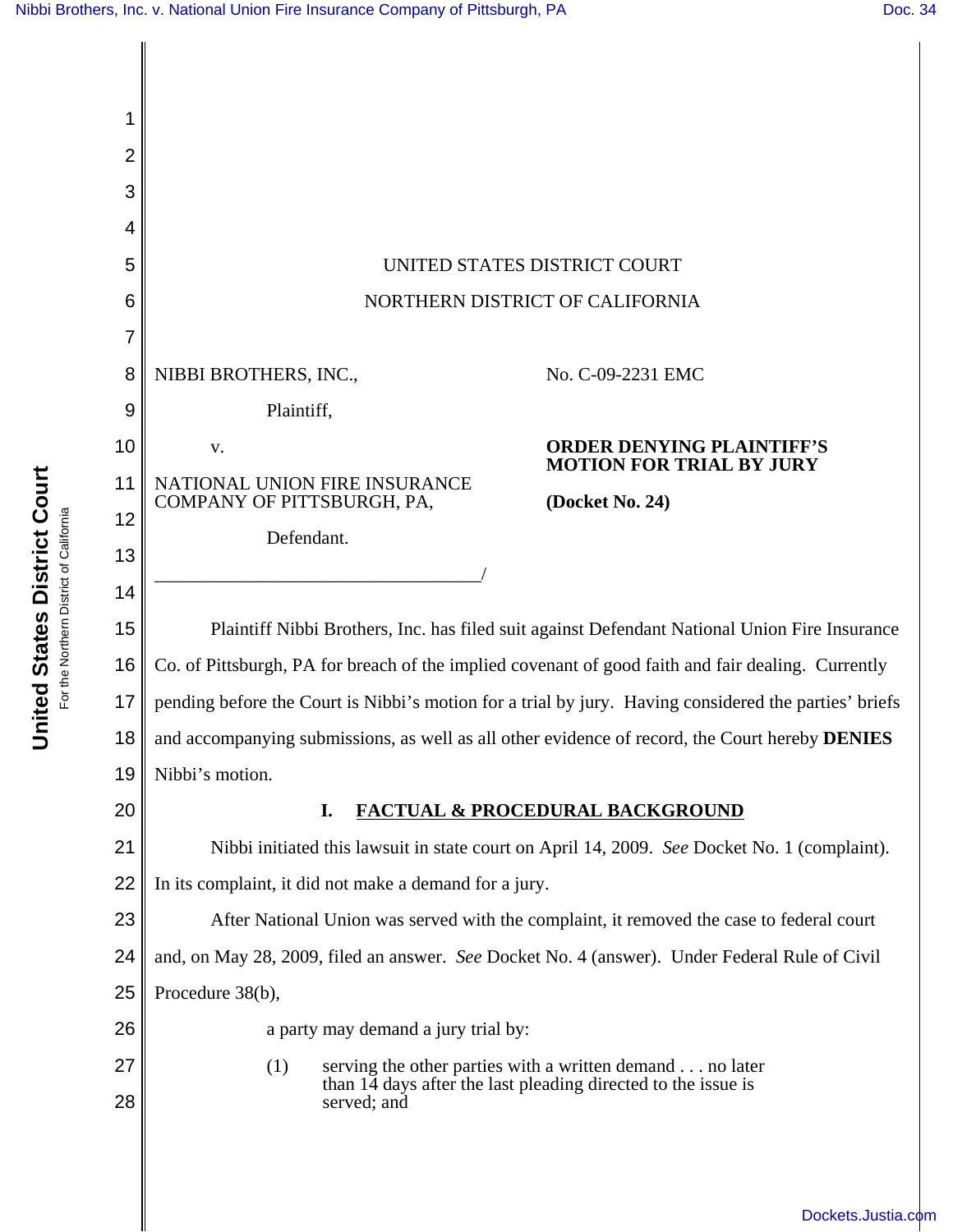

**United States District Court United States District Court** For the Northern District of California For the Northern District of California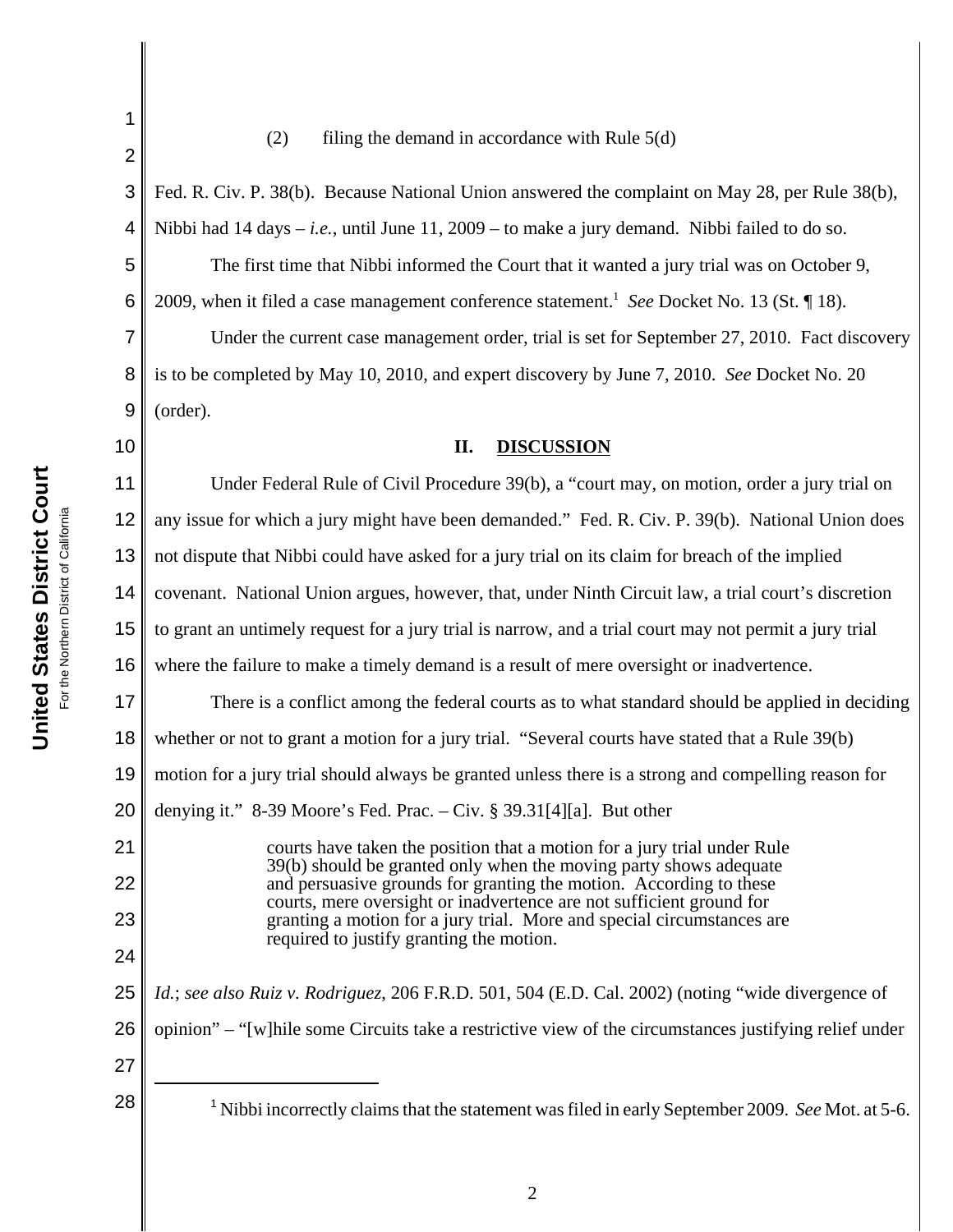## (2) filing the demand in accordance with Rule  $5(d)$

2 3 4 5 6 7 8 9 10 11 12 13 14 15 16 17 18 19 20 21 22 23 24 25 26 27 28 Nibbi incorrectly claims that the statement was filed in early September 2009. *See* Mot. at 5-6. Fed. R. Civ. P. 38(b). Because National Union answered the complaint on May 28, per Rule 38(b), Nibbi had  $14 \text{ days} - i.e.,$  until June  $11, 2009 -$  to make a jury demand. Nibbi failed to do so. The first time that Nibbi informed the Court that it wanted a jury trial was on October 9, 2009, when it filed a case management conference statement.<sup>1</sup> See Docket No. 13 (St. 18). Under the current case management order, trial is set for September 27, 2010. Fact discovery is to be completed by May 10, 2010, and expert discovery by June 7, 2010. *See* Docket No. 20 (order). **II. DISCUSSION** Under Federal Rule of Civil Procedure 39(b), a "court may, on motion, order a jury trial on any issue for which a jury might have been demanded." Fed. R. Civ. P. 39(b). National Union does not dispute that Nibbi could have asked for a jury trial on its claim for breach of the implied covenant. National Union argues, however, that, under Ninth Circuit law, a trial court's discretion to grant an untimely request for a jury trial is narrow, and a trial court may not permit a jury trial where the failure to make a timely demand is a result of mere oversight or inadvertence. There is a conflict among the federal courts as to what standard should be applied in deciding whether or not to grant a motion for a jury trial. "Several courts have stated that a Rule 39(b) motion for a jury trial should always be granted unless there is a strong and compelling reason for denying it." 8-39 Moore's Fed. Prac. – Civ. § 39.31[4][a]. But other courts have taken the position that a motion for a jury trial under Rule 39(b) should be granted only when the moving party shows adequate and persuasive grounds for granting the motion. According to these courts, mere oversight or inadvertence are not sufficient ground for granting a motion for a jury trial. More and special circumstances are required to justify granting the motion. *Id.*; *see also Ruiz v. Rodriguez*, 206 F.R.D. 501, 504 (E.D. Cal. 2002) (noting "wide divergence of opinion" – "[w]hile some Circuits take a restrictive view of the circumstances justifying relief under

1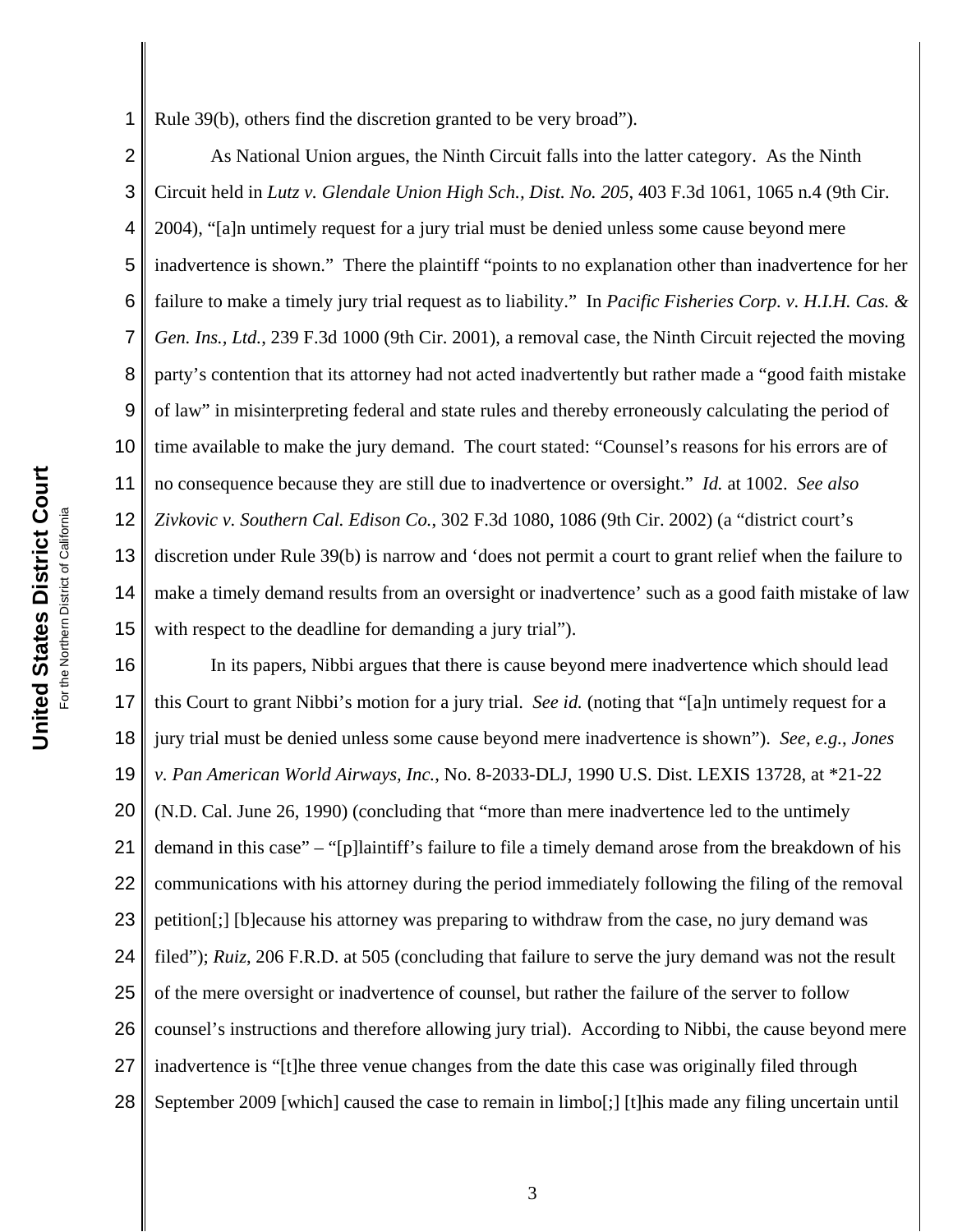1 Rule 39(b), others find the discretion granted to be very broad").

2 3 4 5 6 7 8 9 10 11 12 13 14 15 As National Union argues, the Ninth Circuit falls into the latter category. As the Ninth Circuit held in *Lutz v. Glendale Union High Sch., Dist. No. 205*, 403 F.3d 1061, 1065 n.4 (9th Cir. 2004), "[a]n untimely request for a jury trial must be denied unless some cause beyond mere inadvertence is shown." There the plaintiff "points to no explanation other than inadvertence for her failure to make a timely jury trial request as to liability." In *Pacific Fisheries Corp. v. H.I.H. Cas. & Gen. Ins., Ltd.*, 239 F.3d 1000 (9th Cir. 2001), a removal case, the Ninth Circuit rejected the moving party's contention that its attorney had not acted inadvertently but rather made a "good faith mistake of law" in misinterpreting federal and state rules and thereby erroneously calculating the period of time available to make the jury demand. The court stated: "Counsel's reasons for his errors are of no consequence because they are still due to inadvertence or oversight." *Id.* at 1002. *See also Zivkovic v. Southern Cal. Edison Co.*, 302 F.3d 1080, 1086 (9th Cir. 2002) (a "district court's discretion under Rule 39(b) is narrow and 'does not permit a court to grant relief when the failure to make a timely demand results from an oversight or inadvertence' such as a good faith mistake of law with respect to the deadline for demanding a jury trial").

16 17 18 19 20 21 22 23 24 25 26 27 28 In its papers, Nibbi argues that there is cause beyond mere inadvertence which should lead this Court to grant Nibbi's motion for a jury trial. *See id.* (noting that "[a]n untimely request for a jury trial must be denied unless some cause beyond mere inadvertence is shown"). *See, e.g.*, *Jones v. Pan American World Airways, Inc.*, No. 8-2033-DLJ, 1990 U.S. Dist. LEXIS 13728, at \*21-22 (N.D. Cal. June 26, 1990) (concluding that "more than mere inadvertence led to the untimely demand in this case" – "[p]laintiff's failure to file a timely demand arose from the breakdown of his communications with his attorney during the period immediately following the filing of the removal petition[;] [b]ecause his attorney was preparing to withdraw from the case, no jury demand was filed"); *Ruiz*, 206 F.R.D. at 505 (concluding that failure to serve the jury demand was not the result of the mere oversight or inadvertence of counsel, but rather the failure of the server to follow counsel's instructions and therefore allowing jury trial). According to Nibbi, the cause beyond mere inadvertence is "[t]he three venue changes from the date this case was originally filed through September 2009 [which] caused the case to remain in limbo[;] [t]his made any filing uncertain until